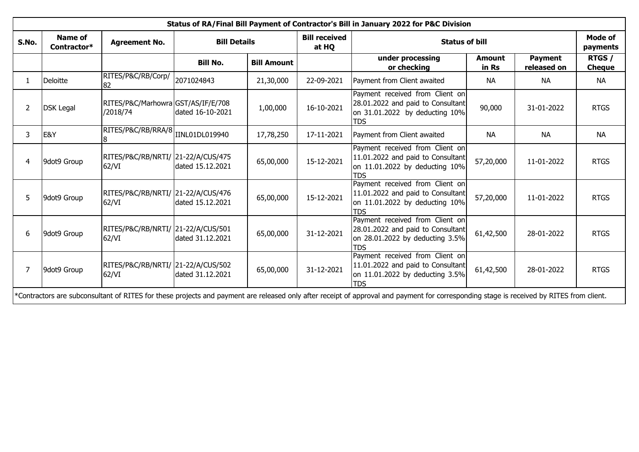| Status of RA/Final Bill Payment of Contractor's Bill in January 2022 for P&C Division                                                                                                    |                               |                                                |                     |                    |                               |                                                                                                                       |                        |                               |                            |  |
|------------------------------------------------------------------------------------------------------------------------------------------------------------------------------------------|-------------------------------|------------------------------------------------|---------------------|--------------------|-------------------------------|-----------------------------------------------------------------------------------------------------------------------|------------------------|-------------------------------|----------------------------|--|
| S.No.                                                                                                                                                                                    | <b>Name of</b><br>Contractor* | <b>Agreement No.</b>                           | <b>Bill Details</b> |                    | <b>Bill received</b><br>at HQ | <b>Status of bill</b>                                                                                                 |                        |                               | <b>Mode of</b><br>payments |  |
|                                                                                                                                                                                          |                               |                                                | <b>Bill No.</b>     | <b>Bill Amount</b> |                               | under processing<br>or checking                                                                                       | <b>Amount</b><br>in Rs | <b>Payment</b><br>released on | RTGS /<br><b>Cheque</b>    |  |
|                                                                                                                                                                                          | Deloitte                      | RITES/P&C/RB/Corp/<br>82                       | 2071024843          | 21,30,000          | 22-09-2021                    | Payment from Client awaited                                                                                           | <b>NA</b>              | <b>NA</b>                     | <b>NA</b>                  |  |
| 2                                                                                                                                                                                        | <b>DSK Legal</b>              | RITES/P&C/Marhowra GST/AS/IF/E/708<br>/2018/74 | dated 16-10-2021    | 1,00,000           | 16-10-2021                    | Payment received from Client on<br>28.01.2022 and paid to Consultant<br>on 31.01.2022 by deducting 10%<br><b>TDS</b>  | 90,000                 | 31-01-2022                    | <b>RTGS</b>                |  |
| 3                                                                                                                                                                                        | E&Y                           | RITES/P&C/RB/RRA/8<br>18                       | IINL01DL019940      | 17,78,250          | 17-11-2021                    | Payment from Client awaited                                                                                           | <b>NA</b>              | <b>NA</b>                     | <b>NA</b>                  |  |
| 4                                                                                                                                                                                        | 9dot9 Group                   | RITES/P&C/RB/NRTI/ 21-22/A/CUS/475<br>62/VI    | dated 15.12.2021    | 65,00,000          | 15-12-2021                    | Payment received from Client on<br>11.01.2022 and paid to Consultant<br>on 11.01.2022 by deducting 10%<br><b>TDS</b>  | 57,20,000              | 11-01-2022                    | <b>RTGS</b>                |  |
| 5                                                                                                                                                                                        | 9dot9 Group                   | RITES/P&C/RB/NRTI/ 21-22/A/CUS/476<br>62/VI    | dated 15.12.2021    | 65,00,000          | 15-12-2021                    | Payment received from Client on<br>11.01.2022 and paid to Consultant<br>on 11.01.2022 by deducting 10%<br><b>TDS</b>  | 57,20,000              | 11-01-2022                    | <b>RTGS</b>                |  |
| 6                                                                                                                                                                                        | 9dot9 Group                   | RITES/P&C/RB/NRTI/ 21-22/A/CUS/501<br>62/VI    | dated 31.12.2021    | 65,00,000          | 31-12-2021                    | Payment received from Client on<br>28.01.2022 and paid to Consultant<br>on 28.01.2022 by deducting 3.5%<br><b>TDS</b> | 61,42,500              | 28-01-2022                    | <b>RTGS</b>                |  |
|                                                                                                                                                                                          | 9dot9 Group                   | RITES/P&C/RB/NRTI/ 21-22/A/CUS/502<br>62/VI    | dated 31.12.2021    | 65,00,000          | 31-12-2021                    | Payment received from Client on<br>11.01.2022 and paid to Consultant<br>on 11.01.2022 by deducting 3.5%<br><b>TDS</b> | 61,42,500              | 28-01-2022                    | <b>RTGS</b>                |  |
| *Contractors are subconsultant of RITES for these projects and payment are released only after receipt of approval and payment for corresponding stage is received by RITES from client. |                               |                                                |                     |                    |                               |                                                                                                                       |                        |                               |                            |  |